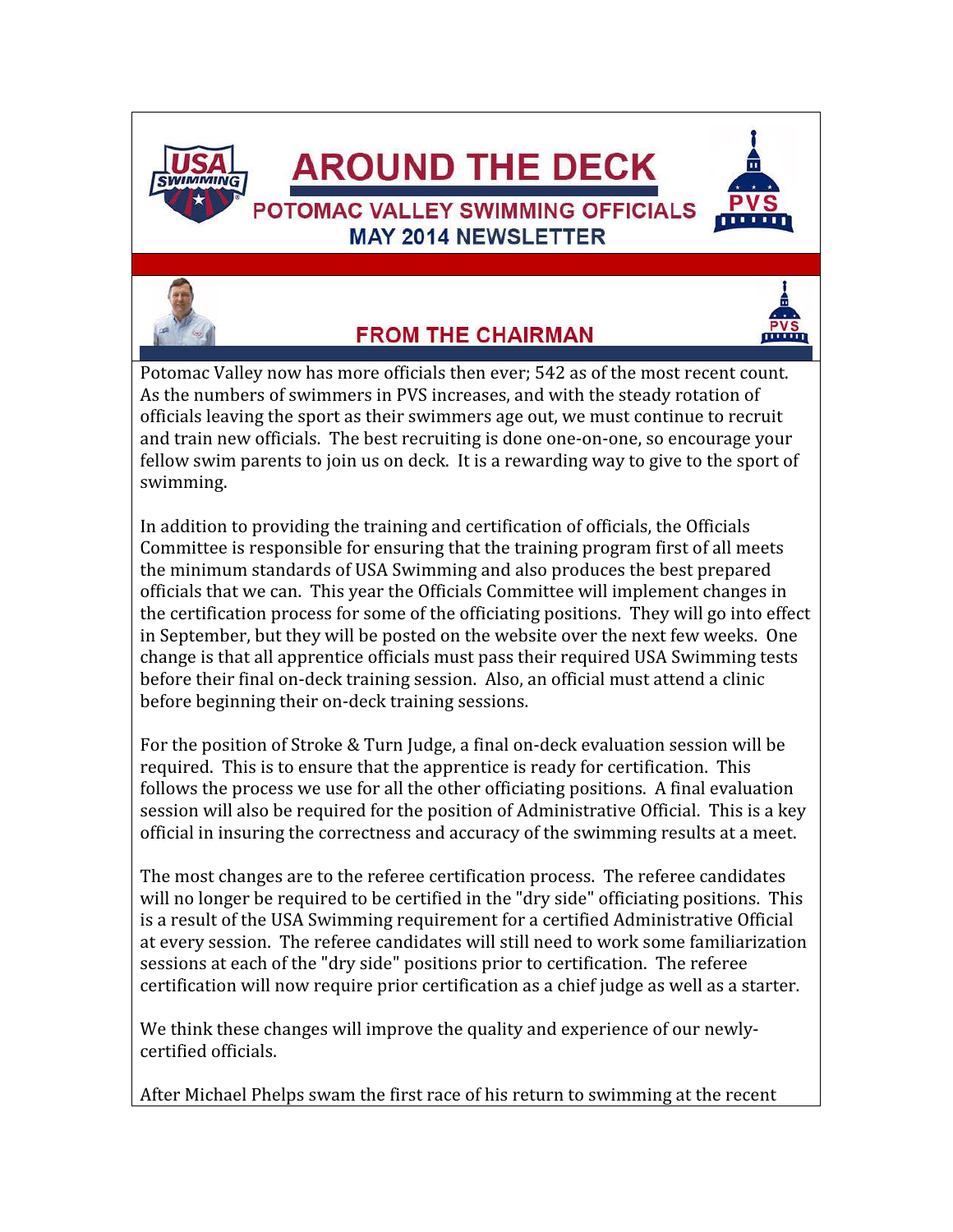

# **AROUND THE DECK**

**MAY 2014 NEWSLETTER** 





# **FROM THE CHAIRMAN**



Potomac Valley now has more officials then ever; 542 as of the most recent count. As the numbers of swimmers in PVS increases, and with the steady rotation of officials leaving the sport as their swimmers age out, we must continue to recruit and train new officials. The best recruiting is done one-on-one, so encourage your fellow swim parents to join us on deck. It is a rewarding way to give to the sport of swimming.

In addition to providing the training and certification of officials, the Officials Committee is responsible for ensuring that the training program first of all meets the minimum standards of USA Swimming and also produces the best prepared officials that we can. This year the Officials Committee will implement changes in the certification process for some of the officiating positions. They will go into effect in September, but they will be posted on the website over the next few weeks. One change is that all apprentice officials must pass their required USA Swimming tests before their final on-deck training session. Also, an official must attend a clinic before beginning their on-deck training sessions.

For the position of Stroke & Turn Judge, a final on-deck evaluation session will be required. This is to ensure that the apprentice is ready for certification. This follows the process we use for all the other officiating positions. A final evaluation session will also be required for the position of Administrative Official. This is a key official in insuring the correctness and accuracy of the swimming results at a meet.

The most changes are to the referee certification process. The referee candidates will no longer be required to be certified in the "dry side" officiating positions. This is a result of the USA Swimming requirement for a certified Administrative Official at every session. The referee candidates will still need to work some familiarization sessions at each of the "dry side" positions prior to certification. The referee certification will now require prior certification as a chief judge as well as a starter.

We think these changes will improve the quality and experience of our newlycertified officials.

After Michael Phelps swam the first race of his return to swimming at the recent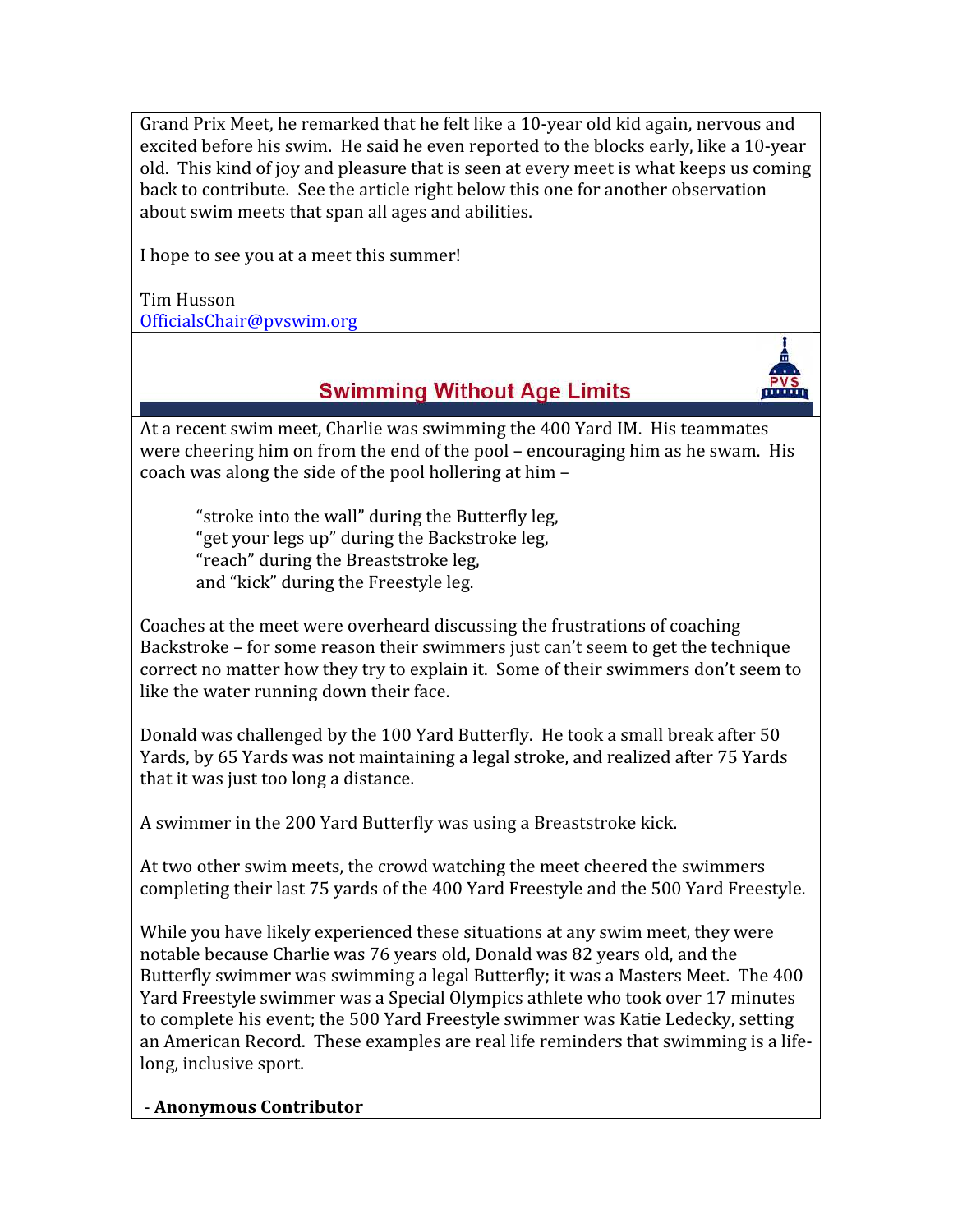Grand Prix Meet, he remarked that he felt like a 10-year old kid again, nervous and excited before his swim. He said he even reported to the blocks early, like a 10-year old. This kind of joy and pleasure that is seen at every meet is what keeps us coming back to contribute. See the article right below this one for another observation about swim meets that span all ages and abilities.

I hope to see you at a meet this summer!

Tim Husson OfficialsChair@pvswim.org

## **Swimming Without Age Limits**

moon

At a recent swim meet, Charlie was swimming the 400 Yard IM. His teammates were cheering him on from the end of the pool – encouraging him as he swam. His coach was along the side of the pool hollering at him –

"stroke into the wall" during the Butterfly leg, "get your legs up" during the Backstroke leg, "reach" during the Breaststroke leg, and "kick" during the Freestyle leg.

Coaches at the meet were overheard discussing the frustrations of coaching Backstroke – for some reason their swimmers just can't seem to get the technique correct no matter how they try to explain it. Some of their swimmers don't seem to like the water running down their face.

Donald was challenged by the 100 Yard Butterfly. He took a small break after 50 Yards, by 65 Yards was not maintaining a legal stroke, and realized after 75 Yards that it was just too long a distance.

A swimmer in the 200 Yard Butterfly was using a Breaststroke kick.

At two other swim meets, the crowd watching the meet cheered the swimmers completing their last 75 yards of the 400 Yard Freestyle and the 500 Yard Freestyle.

While you have likely experienced these situations at any swim meet, they were notable because Charlie was 76 years old, Donald was 82 years old, and the Butterfly swimmer was swimming a legal Butterfly; it was a Masters Meet. The 400 Yard Freestyle swimmer was a Special Olympics athlete who took over 17 minutes to complete his event; the 500 Yard Freestyle swimmer was Katie Ledecky, setting an American Record. These examples are real life reminders that swimming is a lifelong, inclusive sport.

#### - Anonymous Contributor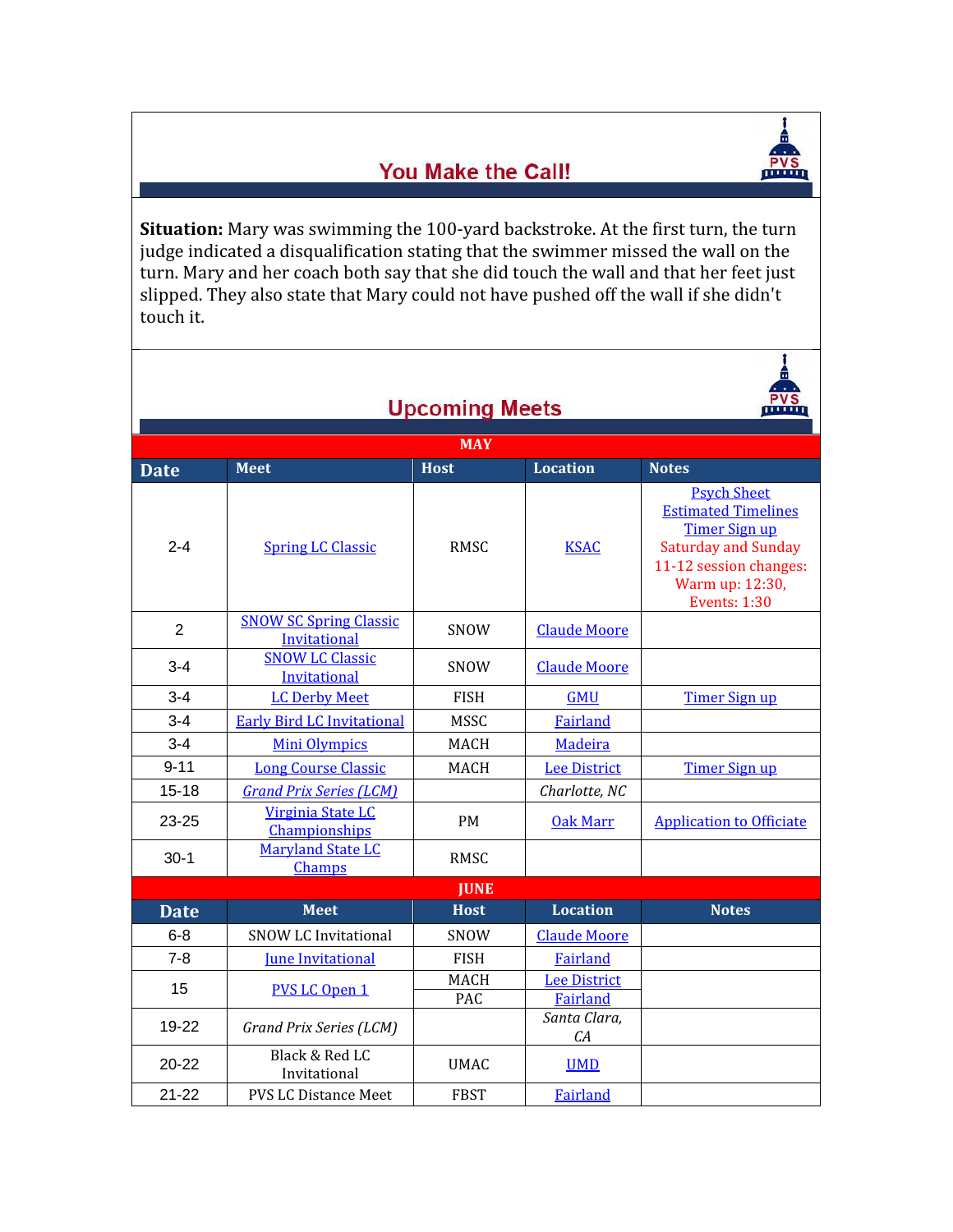## You Make the Call!



Ŧ

Situation: Mary was swimming the 100-yard backstroke. At the first turn, the turn judge indicated a disqualification stating that the swimmer missed the wall on the turn. Mary and her coach both say that she did touch the wall and that her feet just slipped. They also state that Mary could not have pushed off the wall if she didn't touch it.

| <b>Upcoming Meets</b> |                                               |                    |                                 |                                                                                                                                                                            |  |  |  |
|-----------------------|-----------------------------------------------|--------------------|---------------------------------|----------------------------------------------------------------------------------------------------------------------------------------------------------------------------|--|--|--|
| <b>MAY</b>            |                                               |                    |                                 |                                                                                                                                                                            |  |  |  |
| <b>Date</b>           | <b>Meet</b>                                   | <b>Host</b>        | <b>Location</b>                 | <b>Notes</b>                                                                                                                                                               |  |  |  |
| $2 - 4$               | <b>Spring LC Classic</b>                      | <b>RMSC</b>        | <b>KSAC</b>                     | <b>Psych Sheet</b><br><b>Estimated Timelines</b><br><b>Timer Sign up</b><br><b>Saturday and Sunday</b><br>11-12 session changes:<br>Warm up: 12:30,<br><b>Events: 1:30</b> |  |  |  |
| $\overline{2}$        | <b>SNOW SC Spring Classic</b><br>Invitational | <b>SNOW</b>        | <b>Claude Moore</b>             |                                                                                                                                                                            |  |  |  |
| $3 - 4$               | <b>SNOW LC Classic</b><br>Invitational        | SNOW               | <b>Claude Moore</b>             |                                                                                                                                                                            |  |  |  |
| $3 - 4$               | <b>LC Derby Meet</b>                          | <b>FISH</b>        | <b>GMU</b>                      | <b>Timer Sign up</b>                                                                                                                                                       |  |  |  |
| $3 - 4$               | <b>Early Bird LC Invitational</b>             | <b>MSSC</b>        | Fairland                        |                                                                                                                                                                            |  |  |  |
| $3 - 4$               | <b>Mini Olympics</b>                          | <b>MACH</b>        | Madeira                         |                                                                                                                                                                            |  |  |  |
| $9 - 11$              | <b>Long Course Classic</b>                    | <b>MACH</b>        | <b>Lee District</b>             | <b>Timer Sign up</b>                                                                                                                                                       |  |  |  |
| $15 - 18$             | <b>Grand Prix Series (LCM)</b>                |                    | Charlotte, NC                   |                                                                                                                                                                            |  |  |  |
| 23-25                 | Virginia State LC<br>Championships            | <b>PM</b>          | <b>Oak Marr</b>                 | <b>Application to Officiate</b>                                                                                                                                            |  |  |  |
| $30-1$                | <b>Maryland State LC</b><br>Champs            | <b>RMSC</b>        |                                 |                                                                                                                                                                            |  |  |  |
| <b>JUNE</b>           |                                               |                    |                                 |                                                                                                                                                                            |  |  |  |
| <b>Date</b>           | <b>Meet</b>                                   | <b>Host</b>        | <b>Location</b>                 | <b>Notes</b>                                                                                                                                                               |  |  |  |
| $6 - 8$               | <b>SNOW LC Invitational</b>                   | SNOW               | <b>Claude Moore</b>             |                                                                                                                                                                            |  |  |  |
| $7 - 8$               | <b>June Invitational</b>                      | <b>FISH</b>        | Fairland                        |                                                                                                                                                                            |  |  |  |
| 15                    | <b>PVS LC Open 1</b>                          | <b>MACH</b><br>PAC | <b>Lee District</b><br>Fairland |                                                                                                                                                                            |  |  |  |
| 19-22                 | Grand Prix Series (LCM)                       |                    | Santa Clara,<br>CA              |                                                                                                                                                                            |  |  |  |
| $20 - 22$             | Black & Red LC<br>Invitational                | <b>UMAC</b>        | <b>UMD</b>                      |                                                                                                                                                                            |  |  |  |
| $21 - 22$             | <b>PVS LC Distance Meet</b>                   | <b>FBST</b>        | Fairland                        |                                                                                                                                                                            |  |  |  |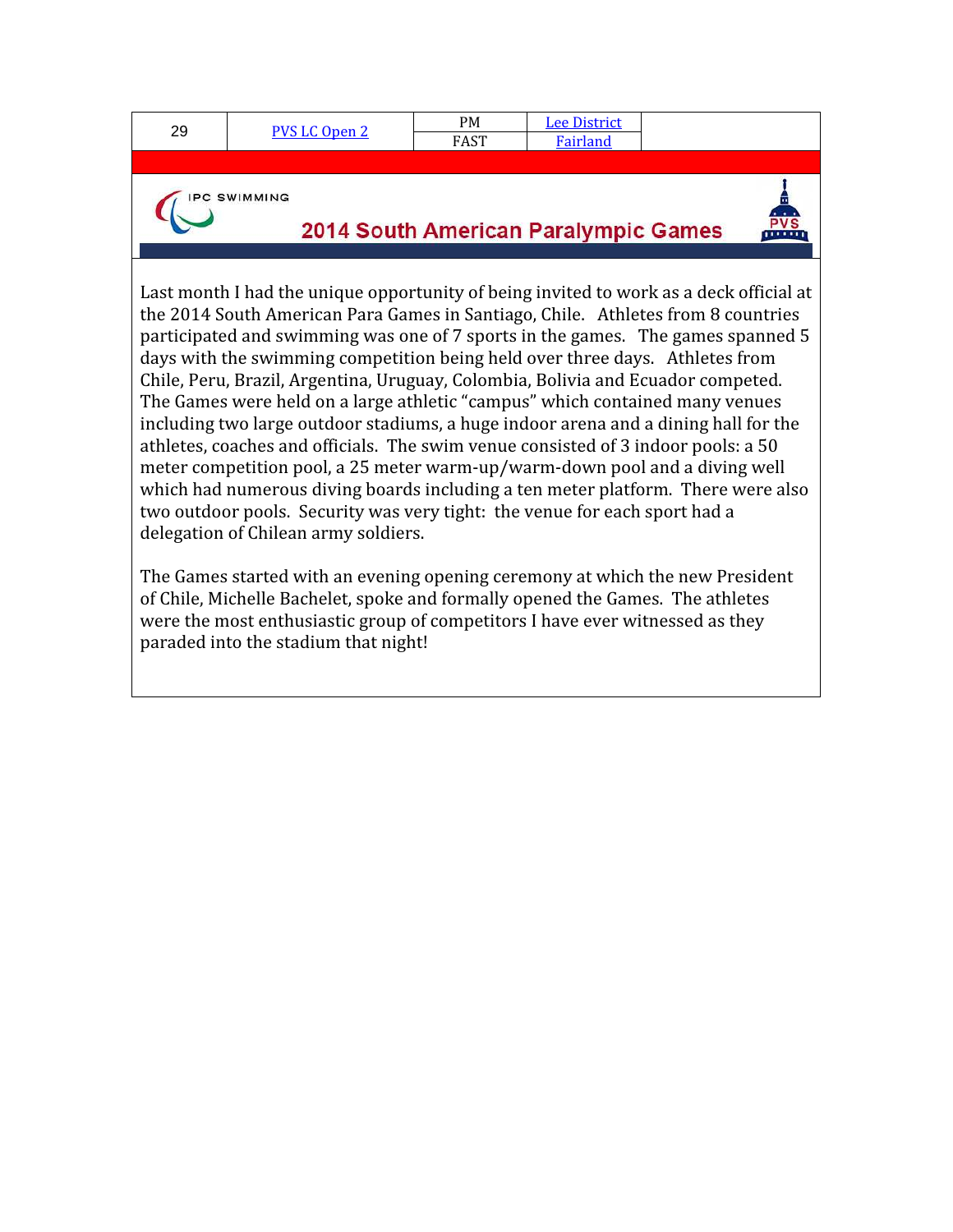| 29                                                                                                                                                                                                                                                                                                                                                                                                                                                                                                                                                                                                       | <b>PVS LC Open 2</b> | <b>PM</b> | <b>Lee District</b> |  |  |  |  |  |
|----------------------------------------------------------------------------------------------------------------------------------------------------------------------------------------------------------------------------------------------------------------------------------------------------------------------------------------------------------------------------------------------------------------------------------------------------------------------------------------------------------------------------------------------------------------------------------------------------------|----------------------|-----------|---------------------|--|--|--|--|--|
|                                                                                                                                                                                                                                                                                                                                                                                                                                                                                                                                                                                                          |                      | FAST      | <b>Fairland</b>     |  |  |  |  |  |
|                                                                                                                                                                                                                                                                                                                                                                                                                                                                                                                                                                                                          |                      |           |                     |  |  |  |  |  |
| <b>SWIMMING</b><br>2014 South American Paralympic Games                                                                                                                                                                                                                                                                                                                                                                                                                                                                                                                                                  |                      |           |                     |  |  |  |  |  |
| Last month I had the unique opportunity of being invited to work as a deck official at<br>the 2014 South American Para Games in Santiago, Chile. Athletes from 8 countries<br>participated and swimming was one of 7 sports in the games. The games spanned 5<br>days with the swimming competition being held over three days. Athletes from<br>Chile, Peru, Brazil, Argentina, Uruguay, Colombia, Bolivia and Ecuador competed.<br>The Games were held on a large athletic "campus" which contained many venues<br>including two large outdoor stadiums, a huge indoor arena and a dining hall for the |                      |           |                     |  |  |  |  |  |

athletes, coaches and officials. The swim venue consisted of 3 indoor pools: a 50 meter competition pool, a 25 meter warm-up/warm-down pool and a diving well which had numerous diving boards including a ten meter platform. There were also two outdoor pools. Security was very tight: the venue for each sport had a delegation of Chilean army soldiers.

The Games started with an evening opening ceremony at which the new President of Chile, Michelle Bachelet, spoke and formally opened the Games. The athletes were the most enthusiastic group of competitors I have ever witnessed as they paraded into the stadium that night!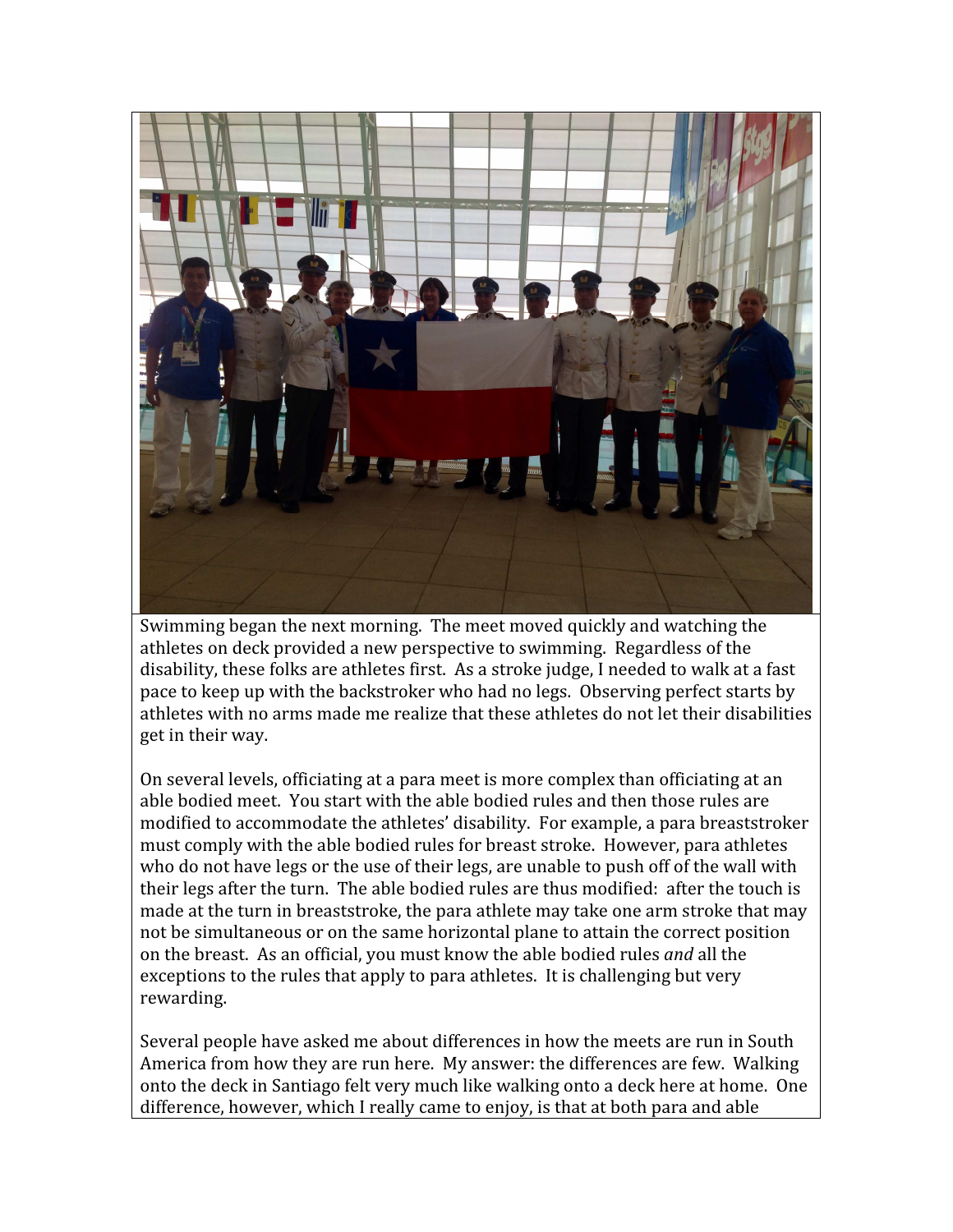

Swimming began the next morning. The meet moved quickly and watching the athletes on deck provided a new perspective to swimming. Regardless of the disability, these folks are athletes first. As a stroke judge, I needed to walk at a fast pace to keep up with the backstroker who had no legs. Observing perfect starts by athletes with no arms made me realize that these athletes do not let their disabilities get in their way.

On several levels, officiating at a para meet is more complex than officiating at an able bodied meet. You start with the able bodied rules and then those rules are modified to accommodate the athletes' disability. For example, a para breaststroker must comply with the able bodied rules for breast stroke. However, para athletes who do not have legs or the use of their legs, are unable to push off of the wall with their legs after the turn. The able bodied rules are thus modified: after the touch is made at the turn in breaststroke, the para athlete may take one arm stroke that may not be simultaneous or on the same horizontal plane to attain the correct position on the breast. As an official, you must know the able bodied rules and all the exceptions to the rules that apply to para athletes. It is challenging but very rewarding.

Several people have asked me about differences in how the meets are run in South America from how they are run here. My answer: the differences are few. Walking onto the deck in Santiago felt very much like walking onto a deck here at home. One difference, however, which I really came to enjoy, is that at both para and able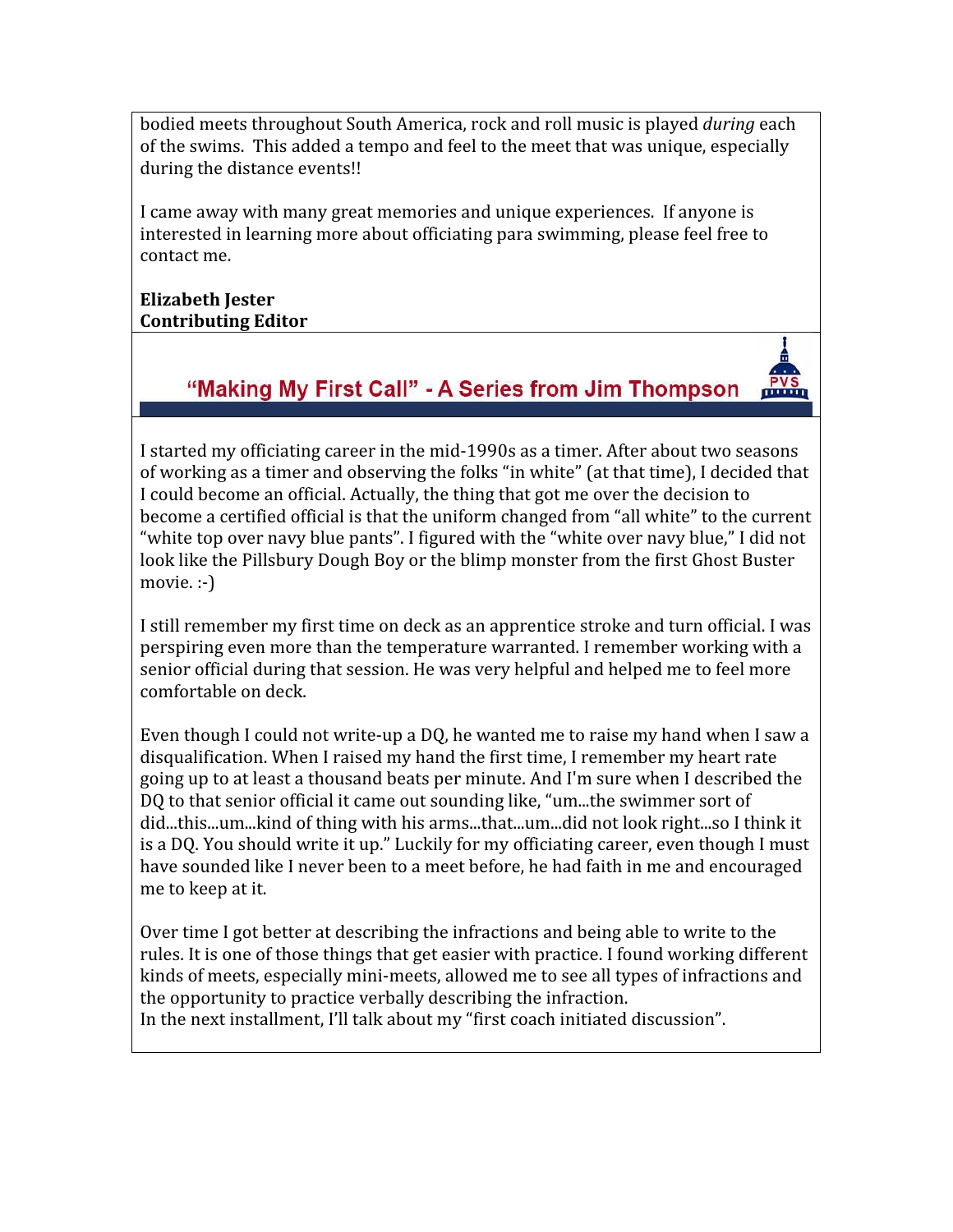bodied meets throughout South America, rock and roll music is played during each of the swims. This added a tempo and feel to the meet that was unique, especially during the distance events!!

I came away with many great memories and unique experiences. If anyone is interested in learning more about officiating para swimming, please feel free to contact me.

#### Elizabeth Jester Contributing Editor

#### "Making My First Call" - A Series from Jim Thompson

 $PVS$ 

I started my officiating career in the mid-1990s as a timer. After about two seasons of working as a timer and observing the folks "in white" (at that time), I decided that I could become an official. Actually, the thing that got me over the decision to become a certified official is that the uniform changed from "all white" to the current "white top over navy blue pants". I figured with the "white over navy blue," I did not look like the Pillsbury Dough Boy or the blimp monster from the first Ghost Buster movie. :-)

I still remember my first time on deck as an apprentice stroke and turn official. I was perspiring even more than the temperature warranted. I remember working with a senior official during that session. He was very helpful and helped me to feel more comfortable on deck.

Even though I could not write-up a DQ, he wanted me to raise my hand when I saw a disqualification. When I raised my hand the first time, I remember my heart rate going up to at least a thousand beats per minute. And I'm sure when I described the DQ to that senior official it came out sounding like, "um...the swimmer sort of did...this...um...kind of thing with his arms...that...um...did not look right...so I think it is a DQ. You should write it up." Luckily for my officiating career, even though I must have sounded like I never been to a meet before, he had faith in me and encouraged me to keep at it.

Over time I got better at describing the infractions and being able to write to the rules. It is one of those things that get easier with practice. I found working different kinds of meets, especially mini-meets, allowed me to see all types of infractions and the opportunity to practice verbally describing the infraction. In the next installment, I'll talk about my "first coach initiated discussion".